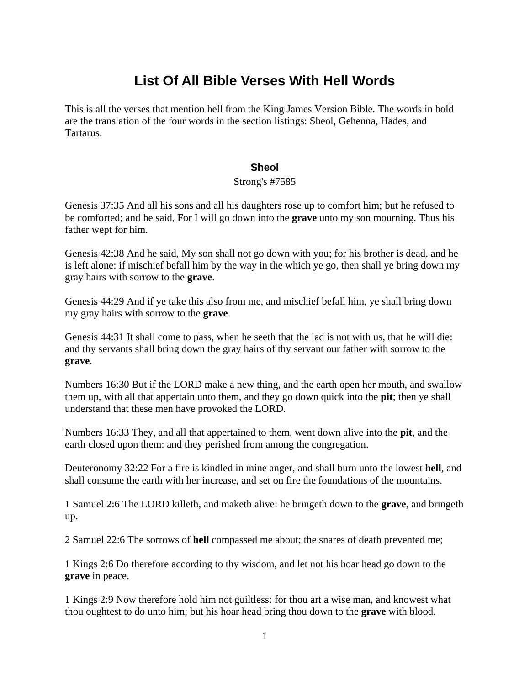# **List Of All Bible Verses With Hell Words**

This is all the verses that mention hell from the King James Version Bible. The words in bold are the translation of the four words in the section listings: Sheol, Gehenna, Hades, and Tartarus.

# **Sheol**

## Strong's #7585

Genesis 37:35 And all his sons and all his daughters rose up to comfort him; but he refused to be comforted; and he said, For I will go down into the **grave** unto my son mourning. Thus his father wept for him.

Genesis 42:38 And he said, My son shall not go down with you; for his brother is dead, and he is left alone: if mischief befall him by the way in the which ye go, then shall ye bring down my gray hairs with sorrow to the **grave**.

Genesis 44:29 And if ye take this also from me, and mischief befall him, ye shall bring down my gray hairs with sorrow to the **grave**.

Genesis 44:31 It shall come to pass, when he seeth that the lad is not with us, that he will die: and thy servants shall bring down the gray hairs of thy servant our father with sorrow to the **grave**.

Numbers 16:30 But if the LORD make a new thing, and the earth open her mouth, and swallow them up, with all that appertain unto them, and they go down quick into the **pit**; then ye shall understand that these men have provoked the LORD.

Numbers 16:33 They, and all that appertained to them, went down alive into the **pit**, and the earth closed upon them: and they perished from among the congregation.

Deuteronomy 32:22 For a fire is kindled in mine anger, and shall burn unto the lowest **hell**, and shall consume the earth with her increase, and set on fire the foundations of the mountains.

1 Samuel 2:6 The LORD killeth, and maketh alive: he bringeth down to the **grave**, and bringeth up.

2 Samuel 22:6 The sorrows of **hell** compassed me about; the snares of death prevented me;

1 Kings 2:6 Do therefore according to thy wisdom, and let not his hoar head go down to the **grave** in peace.

1 Kings 2:9 Now therefore hold him not guiltless: for thou art a wise man, and knowest what thou oughtest to do unto him; but his hoar head bring thou down to the **grave** with blood.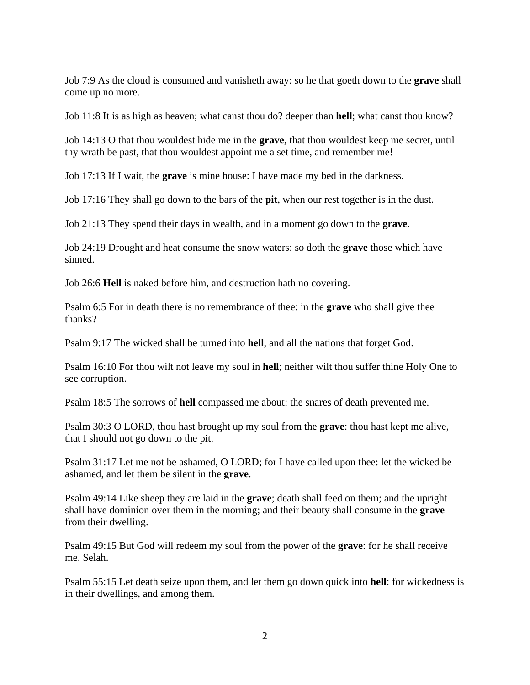Job 7:9 As the cloud is consumed and vanisheth away: so he that goeth down to the **grave** shall come up no more.

Job 11:8 It is as high as heaven; what canst thou do? deeper than **hell**; what canst thou know?

Job 14:13 O that thou wouldest hide me in the **grave**, that thou wouldest keep me secret, until thy wrath be past, that thou wouldest appoint me a set time, and remember me!

Job 17:13 If I wait, the **grave** is mine house: I have made my bed in the darkness.

Job 17:16 They shall go down to the bars of the **pit**, when our rest together is in the dust.

Job 21:13 They spend their days in wealth, and in a moment go down to the **grave**.

Job 24:19 Drought and heat consume the snow waters: so doth the **grave** those which have sinned.

Job 26:6 **Hell** is naked before him, and destruction hath no covering.

Psalm 6:5 For in death there is no remembrance of thee: in the **grave** who shall give thee thanks?

Psalm 9:17 The wicked shall be turned into **hell**, and all the nations that forget God.

Psalm 16:10 For thou wilt not leave my soul in **hell**; neither wilt thou suffer thine Holy One to see corruption.

Psalm 18:5 The sorrows of **hell** compassed me about: the snares of death prevented me.

Psalm 30:3 O LORD, thou hast brought up my soul from the **grave**: thou hast kept me alive, that I should not go down to the pit.

Psalm 31:17 Let me not be ashamed, O LORD; for I have called upon thee: let the wicked be ashamed, and let them be silent in the **grave**.

Psalm 49:14 Like sheep they are laid in the **grave**; death shall feed on them; and the upright shall have dominion over them in the morning; and their beauty shall consume in the **grave** from their dwelling.

Psalm 49:15 But God will redeem my soul from the power of the **grave**: for he shall receive me. Selah.

Psalm 55:15 Let death seize upon them, and let them go down quick into **hell**: for wickedness is in their dwellings, and among them.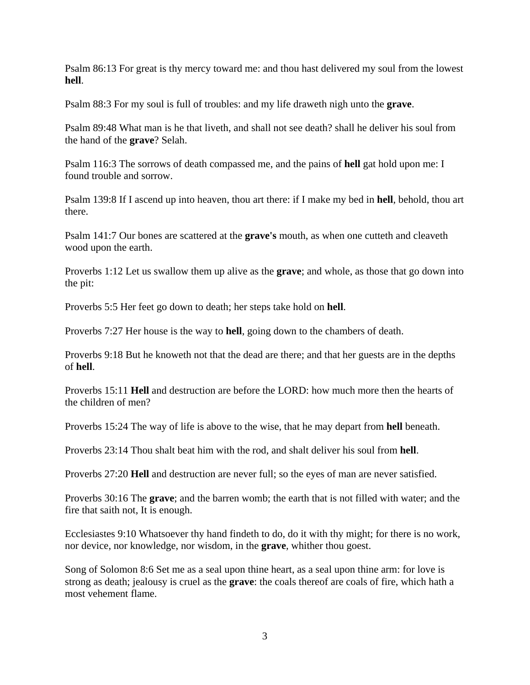Psalm 86:13 For great is thy mercy toward me: and thou hast delivered my soul from the lowest **hell**.

Psalm 88:3 For my soul is full of troubles: and my life draweth nigh unto the **grave**.

Psalm 89:48 What man is he that liveth, and shall not see death? shall he deliver his soul from the hand of the **grave**? Selah.

Psalm 116:3 The sorrows of death compassed me, and the pains of **hell** gat hold upon me: I found trouble and sorrow.

Psalm 139:8 If I ascend up into heaven, thou art there: if I make my bed in **hell**, behold, thou art there.

Psalm 141:7 Our bones are scattered at the **grave's** mouth, as when one cutteth and cleaveth wood upon the earth.

Proverbs 1:12 Let us swallow them up alive as the **grave**; and whole, as those that go down into the pit:

Proverbs 5:5 Her feet go down to death; her steps take hold on **hell**.

Proverbs 7:27 Her house is the way to **hell**, going down to the chambers of death.

Proverbs 9:18 But he knoweth not that the dead are there; and that her guests are in the depths of **hell**.

Proverbs 15:11 **Hell** and destruction are before the LORD: how much more then the hearts of the children of men?

Proverbs 15:24 The way of life is above to the wise, that he may depart from **hell** beneath.

Proverbs 23:14 Thou shalt beat him with the rod, and shalt deliver his soul from **hell**.

Proverbs 27:20 **Hell** and destruction are never full; so the eyes of man are never satisfied.

Proverbs 30:16 The **grave**; and the barren womb; the earth that is not filled with water; and the fire that saith not, It is enough.

Ecclesiastes 9:10 Whatsoever thy hand findeth to do, do it with thy might; for there is no work, nor device, nor knowledge, nor wisdom, in the **grave**, whither thou goest.

Song of Solomon 8:6 Set me as a seal upon thine heart, as a seal upon thine arm: for love is strong as death; jealousy is cruel as the **grave**: the coals thereof are coals of fire, which hath a most vehement flame.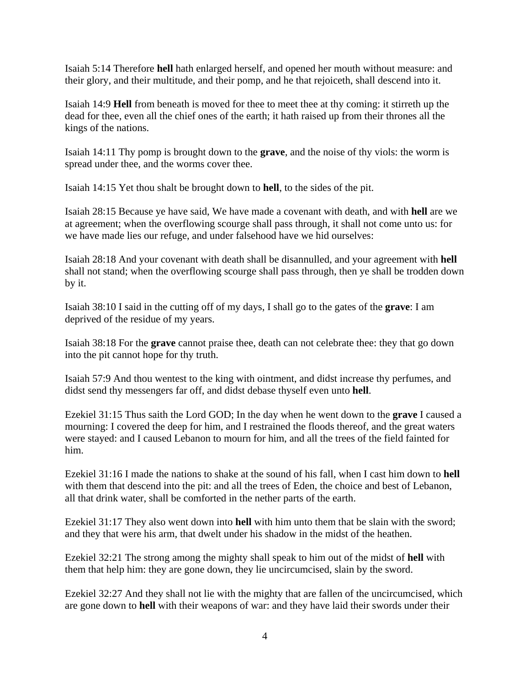Isaiah 5:14 Therefore **hell** hath enlarged herself, and opened her mouth without measure: and their glory, and their multitude, and their pomp, and he that rejoiceth, shall descend into it.

Isaiah 14:9 **Hell** from beneath is moved for thee to meet thee at thy coming: it stirreth up the dead for thee, even all the chief ones of the earth; it hath raised up from their thrones all the kings of the nations.

Isaiah 14:11 Thy pomp is brought down to the **grave**, and the noise of thy viols: the worm is spread under thee, and the worms cover thee.

Isaiah 14:15 Yet thou shalt be brought down to **hell**, to the sides of the pit.

Isaiah 28:15 Because ye have said, We have made a covenant with death, and with **hell** are we at agreement; when the overflowing scourge shall pass through, it shall not come unto us: for we have made lies our refuge, and under falsehood have we hid ourselves:

Isaiah 28:18 And your covenant with death shall be disannulled, and your agreement with **hell** shall not stand; when the overflowing scourge shall pass through, then ye shall be trodden down by it.

Isaiah 38:10 I said in the cutting off of my days, I shall go to the gates of the **grave**: I am deprived of the residue of my years.

Isaiah 38:18 For the **grave** cannot praise thee, death can not celebrate thee: they that go down into the pit cannot hope for thy truth.

Isaiah 57:9 And thou wentest to the king with ointment, and didst increase thy perfumes, and didst send thy messengers far off, and didst debase thyself even unto **hell**.

Ezekiel 31:15 Thus saith the Lord GOD; In the day when he went down to the **grave** I caused a mourning: I covered the deep for him, and I restrained the floods thereof, and the great waters were stayed: and I caused Lebanon to mourn for him, and all the trees of the field fainted for him.

Ezekiel 31:16 I made the nations to shake at the sound of his fall, when I cast him down to **hell** with them that descend into the pit: and all the trees of Eden, the choice and best of Lebanon, all that drink water, shall be comforted in the nether parts of the earth.

Ezekiel 31:17 They also went down into **hell** with him unto them that be slain with the sword; and they that were his arm, that dwelt under his shadow in the midst of the heathen.

Ezekiel 32:21 The strong among the mighty shall speak to him out of the midst of **hell** with them that help him: they are gone down, they lie uncircumcised, slain by the sword.

Ezekiel 32:27 And they shall not lie with the mighty that are fallen of the uncircumcised, which are gone down to **hell** with their weapons of war: and they have laid their swords under their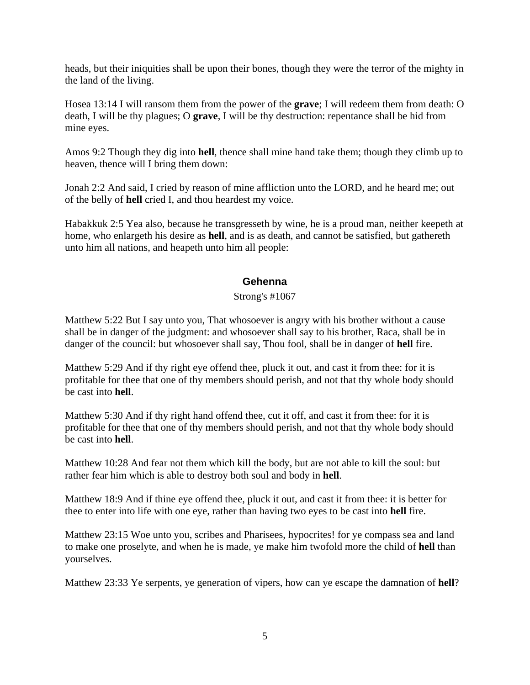heads, but their iniquities shall be upon their bones, though they were the terror of the mighty in the land of the living.

Hosea 13:14 I will ransom them from the power of the **grave**; I will redeem them from death: O death, I will be thy plagues; O **grave**, I will be thy destruction: repentance shall be hid from mine eyes.

Amos 9:2 Though they dig into **hell**, thence shall mine hand take them; though they climb up to heaven, thence will I bring them down:

Jonah 2:2 And said, I cried by reason of mine affliction unto the LORD, and he heard me; out of the belly of **hell** cried I, and thou heardest my voice.

Habakkuk 2:5 Yea also, because he transgresseth by wine, he is a proud man, neither keepeth at home, who enlargeth his desire as **hell**, and is as death, and cannot be satisfied, but gathereth unto him all nations, and heapeth unto him all people:

# **Gehenna**

#### Strong's #1067

Matthew 5:22 But I say unto you, That whosoever is angry with his brother without a cause shall be in danger of the judgment: and whosoever shall say to his brother, Raca, shall be in danger of the council: but whosoever shall say, Thou fool, shall be in danger of **hell** fire.

Matthew 5:29 And if thy right eye offend thee, pluck it out, and cast it from thee: for it is profitable for thee that one of thy members should perish, and not that thy whole body should be cast into **hell**.

Matthew 5:30 And if thy right hand offend thee, cut it off, and cast it from thee: for it is profitable for thee that one of thy members should perish, and not that thy whole body should be cast into **hell**.

Matthew 10:28 And fear not them which kill the body, but are not able to kill the soul: but rather fear him which is able to destroy both soul and body in **hell**.

Matthew 18:9 And if thine eye offend thee, pluck it out, and cast it from thee: it is better for thee to enter into life with one eye, rather than having two eyes to be cast into **hell** fire.

Matthew 23:15 Woe unto you, scribes and Pharisees, hypocrites! for ye compass sea and land to make one proselyte, and when he is made, ye make him twofold more the child of **hell** than yourselves.

Matthew 23:33 Ye serpents, ye generation of vipers, how can ye escape the damnation of **hell**?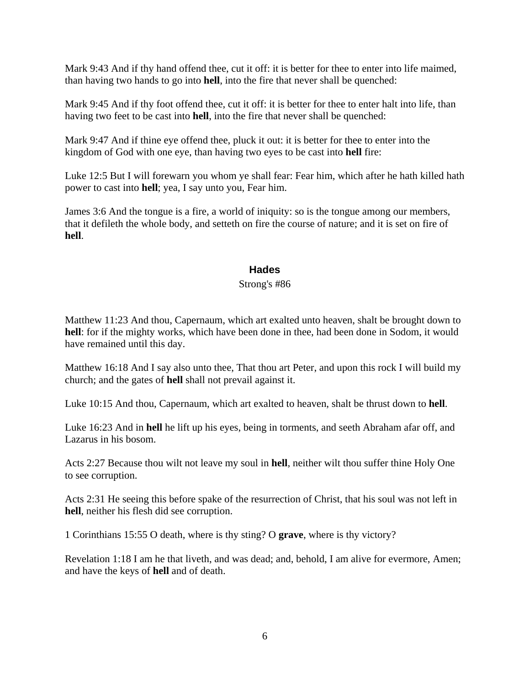Mark 9:43 And if thy hand offend thee, cut it off: it is better for thee to enter into life maimed, than having two hands to go into **hell**, into the fire that never shall be quenched:

Mark 9:45 And if thy foot offend thee, cut it off: it is better for thee to enter halt into life, than having two feet to be cast into **hell**, into the fire that never shall be quenched:

Mark 9:47 And if thine eye offend thee, pluck it out: it is better for thee to enter into the kingdom of God with one eye, than having two eyes to be cast into **hell** fire:

Luke 12:5 But I will forewarn you whom ye shall fear: Fear him, which after he hath killed hath power to cast into **hell**; yea, I say unto you, Fear him.

James 3:6 And the tongue is a fire, a world of iniquity: so is the tongue among our members, that it defileth the whole body, and setteth on fire the course of nature; and it is set on fire of **hell**.

## **Hades**

#### Strong's #86

Matthew 11:23 And thou, Capernaum, which art exalted unto heaven, shalt be brought down to **hell**: for if the mighty works, which have been done in thee, had been done in Sodom, it would have remained until this day.

Matthew 16:18 And I say also unto thee, That thou art Peter, and upon this rock I will build my church; and the gates of **hell** shall not prevail against it.

Luke 10:15 And thou, Capernaum, which art exalted to heaven, shalt be thrust down to **hell**.

Luke 16:23 And in **hell** he lift up his eyes, being in torments, and seeth Abraham afar off, and Lazarus in his bosom.

Acts 2:27 Because thou wilt not leave my soul in **hell**, neither wilt thou suffer thine Holy One to see corruption.

Acts 2:31 He seeing this before spake of the resurrection of Christ, that his soul was not left in **hell**, neither his flesh did see corruption.

1 Corinthians 15:55 O death, where is thy sting? O **grave**, where is thy victory?

Revelation 1:18 I am he that liveth, and was dead; and, behold, I am alive for evermore, Amen; and have the keys of **hell** and of death.